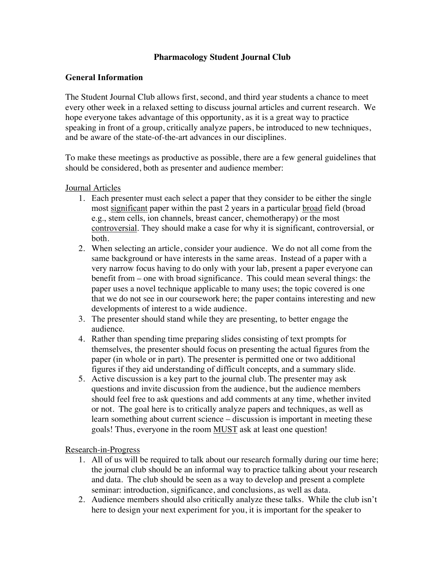## **Pharmacology Student Journal Club**

## **General Information**

The Student Journal Club allows first, second, and third year students a chance to meet every other week in a relaxed setting to discuss journal articles and current research. We hope everyone takes advantage of this opportunity, as it is a great way to practice speaking in front of a group, critically analyze papers, be introduced to new techniques, and be aware of the state-of-the-art advances in our disciplines.

To make these meetings as productive as possible, there are a few general guidelines that should be considered, both as presenter and audience member:

## Journal Articles

- 1. Each presenter must each select a paper that they consider to be either the single most significant paper within the past 2 years in a particular broad field (broad e.g., stem cells, ion channels, breast cancer, chemotherapy) or the most controversial. They should make a case for why it is significant, controversial, or both.
- 2. When selecting an article, consider your audience. We do not all come from the same background or have interests in the same areas. Instead of a paper with a very narrow focus having to do only with your lab, present a paper everyone can benefit from – one with broad significance. This could mean several things: the paper uses a novel technique applicable to many uses; the topic covered is one that we do not see in our coursework here; the paper contains interesting and new developments of interest to a wide audience.
- 3. The presenter should stand while they are presenting, to better engage the audience.
- 4. Rather than spending time preparing slides consisting of text prompts for themselves, the presenter should focus on presenting the actual figures from the paper (in whole or in part). The presenter is permitted one or two additional figures if they aid understanding of difficult concepts, and a summary slide.
- 5. Active discussion is a key part to the journal club. The presenter may ask questions and invite discussion from the audience, but the audience members should feel free to ask questions and add comments at any time, whether invited or not. The goal here is to critically analyze papers and techniques, as well as learn something about current science – discussion is important in meeting these goals! Thus, everyone in the room MUST ask at least one question!

Research-in-Progress

- 1. All of us will be required to talk about our research formally during our time here; the journal club should be an informal way to practice talking about your research and data. The club should be seen as a way to develop and present a complete seminar: introduction, significance, and conclusions, as well as data.
- 2. Audience members should also critically analyze these talks. While the club isn't here to design your next experiment for you, it is important for the speaker to